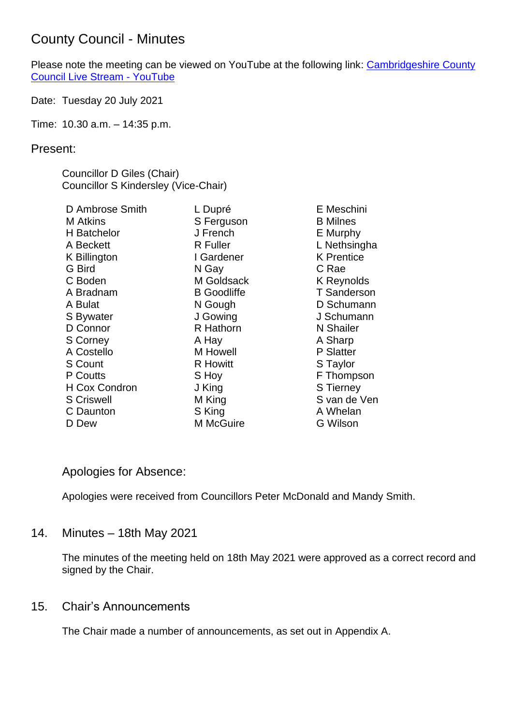## County Council - Minutes

Please note the meeting can be viewed on YouTube at the following link: [Cambridgeshire County](https://www.youtube.com/watch?v=n5SerRoLd3E&t=3345s)  [Council Live Stream -](https://www.youtube.com/watch?v=n5SerRoLd3E&t=3345s) YouTube

Date: Tuesday 20 July 2021

Time: 10.30 a.m. – 14:35 p.m.

#### Present:

Councillor D Giles (Chair) Councillor S Kindersley (Vice-Chair)

| D Ambrose Smith   | L Dupré            |
|-------------------|--------------------|
| M Atkins          | S Ferguson         |
| H Batchelor       | J French           |
| A Beckett         | <b>R</b> Fuller    |
| K Billington      | I Gardener         |
| G Bird            | N Gay              |
| C Boden           | M Goldsack         |
| A Bradnam         | <b>B</b> Goodliffe |
| A Bulat           | N Gough            |
| S Bywater         | J Gowing           |
| D Connor          | R Hathorn          |
| <b>S Corney</b>   | A Hay              |
| A Costello        | M Howell           |
| <b>S Count</b>    | <b>R</b> Howitt    |
| P Coutts          | S Hoy              |
| H Cox Condron     | J King             |
| <b>S Criswell</b> | M King             |
| C Daunton         | S King             |
| D Dew             | M McGuire          |

E Meschini B Milnes E Murphy L Nethsingha K Prentice C Rae K Reynolds T Sanderson D Schumann J Schumann N Shailer A Sharp P Slatter S Taylor F Thompson S Tierney S van de Ven A Whelan G Wilson

### Apologies for Absence:

Apologies were received from Councillors Peter McDonald and Mandy Smith.

### 14. Minutes – 18th May 2021

The minutes of the meeting held on 18th May 2021 were approved as a correct record and signed by the Chair.

### 15. Chair's Announcements

The Chair made a number of announcements, as set out in Appendix A.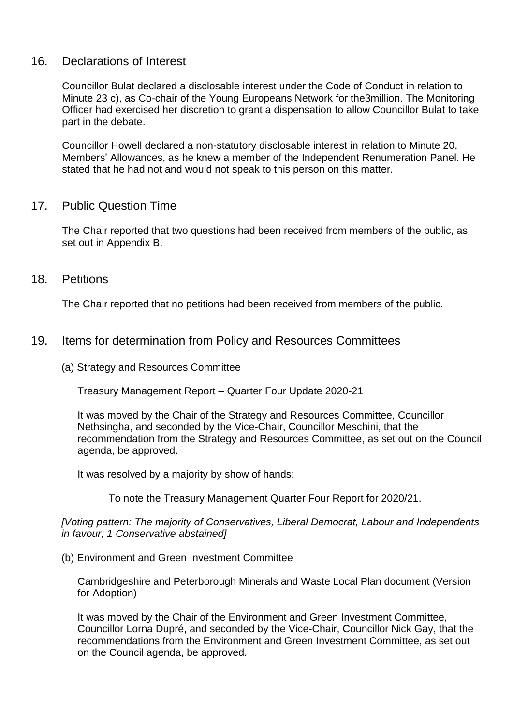#### 16. Declarations of Interest

Councillor Bulat declared a disclosable interest under the Code of Conduct in relation to Minute 23 c), as Co-chair of the Young Europeans Network for the3million. The Monitoring Officer had exercised her discretion to grant a dispensation to allow Councillor Bulat to take part in the debate.

Councillor Howell declared a non-statutory disclosable interest in relation to Minute 20, Members' Allowances, as he knew a member of the Independent Renumeration Panel. He stated that he had not and would not speak to this person on this matter.

#### 17. Public Question Time

The Chair reported that two questions had been received from members of the public, as set out in Appendix B.

18. Petitions

The Chair reported that no petitions had been received from members of the public.

#### 19. Items for determination from Policy and Resources Committees

(a) Strategy and Resources Committee

Treasury Management Report – Quarter Four Update 2020-21

It was moved by the Chair of the Strategy and Resources Committee, Councillor Nethsingha, and seconded by the Vice-Chair, Councillor Meschini, that the recommendation from the Strategy and Resources Committee, as set out on the Council agenda, be approved.

It was resolved by a majority by show of hands:

To note the Treasury Management Quarter Four Report for 2020/21.

*[Voting pattern: The majority of Conservatives, Liberal Democrat, Labour and Independents in favour; 1 Conservative abstained]*

(b) Environment and Green Investment Committee

Cambridgeshire and Peterborough Minerals and Waste Local Plan document (Version for Adoption)

It was moved by the Chair of the Environment and Green Investment Committee, Councillor Lorna Dupré, and seconded by the Vice-Chair, Councillor Nick Gay, that the recommendations from the Environment and Green Investment Committee, as set out on the Council agenda, be approved.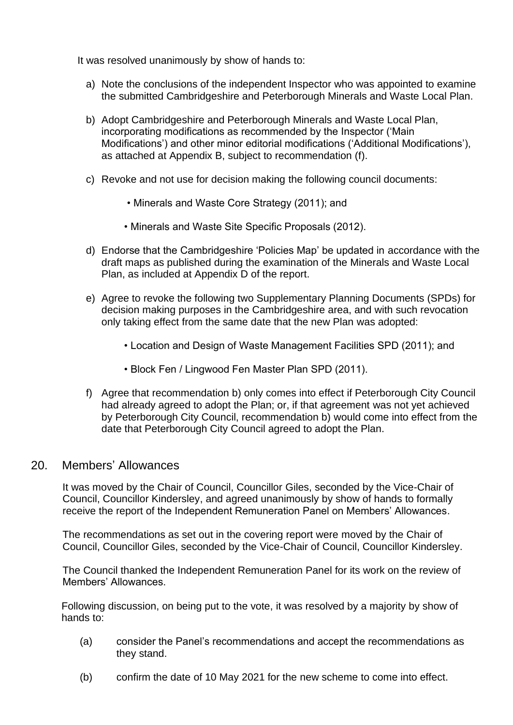It was resolved unanimously by show of hands to:

- a) Note the conclusions of the independent Inspector who was appointed to examine the submitted Cambridgeshire and Peterborough Minerals and Waste Local Plan.
- b) Adopt Cambridgeshire and Peterborough Minerals and Waste Local Plan, incorporating modifications as recommended by the Inspector ('Main Modifications') and other minor editorial modifications ('Additional Modifications'), as attached at Appendix B, subject to recommendation (f).
- c) Revoke and not use for decision making the following council documents:
	- Minerals and Waste Core Strategy (2011); and
	- Minerals and Waste Site Specific Proposals (2012).
- d) Endorse that the Cambridgeshire 'Policies Map' be updated in accordance with the draft maps as published during the examination of the Minerals and Waste Local Plan, as included at Appendix D of the report.
- e) Agree to revoke the following two Supplementary Planning Documents (SPDs) for decision making purposes in the Cambridgeshire area, and with such revocation only taking effect from the same date that the new Plan was adopted:
	- Location and Design of Waste Management Facilities SPD (2011); and
	- Block Fen / Lingwood Fen Master Plan SPD (2011).
- f) Agree that recommendation b) only comes into effect if Peterborough City Council had already agreed to adopt the Plan; or, if that agreement was not yet achieved by Peterborough City Council, recommendation b) would come into effect from the date that Peterborough City Council agreed to adopt the Plan.

#### 20. Members' Allowances

It was moved by the Chair of Council, Councillor Giles, seconded by the Vice-Chair of Council, Councillor Kindersley, and agreed unanimously by show of hands to formally receive the report of the Independent Remuneration Panel on Members' Allowances.

The recommendations as set out in the covering report were moved by the Chair of Council, Councillor Giles, seconded by the Vice-Chair of Council, Councillor Kindersley.

The Council thanked the Independent Remuneration Panel for its work on the review of Members' Allowances.

Following discussion, on being put to the vote, it was resolved by a majority by show of hands to:

- (a) consider the Panel's recommendations and accept the recommendations as they stand.
- (b) confirm the date of 10 May 2021 for the new scheme to come into effect.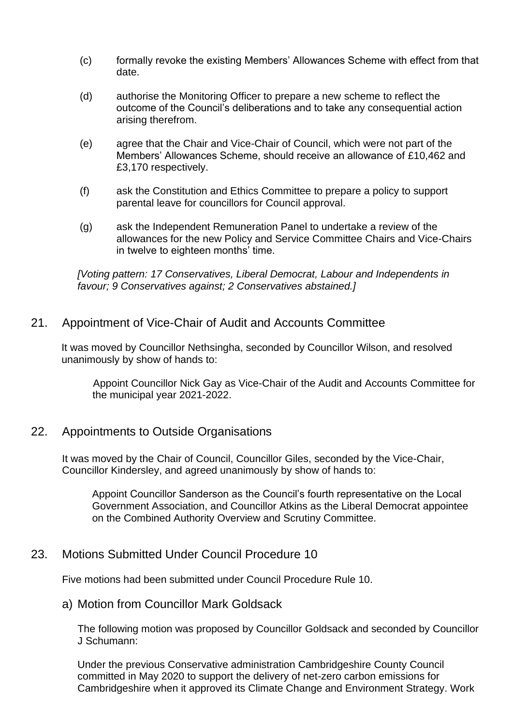- (c) formally revoke the existing Members' Allowances Scheme with effect from that date.
- (d) authorise the Monitoring Officer to prepare a new scheme to reflect the outcome of the Council's deliberations and to take any consequential action arising therefrom.
- (e) agree that the Chair and Vice-Chair of Council, which were not part of the Members' Allowances Scheme, should receive an allowance of £10,462 and £3,170 respectively.
- (f) ask the Constitution and Ethics Committee to prepare a policy to support parental leave for councillors for Council approval.
- (g) ask the Independent Remuneration Panel to undertake a review of the allowances for the new Policy and Service Committee Chairs and Vice-Chairs in twelve to eighteen months' time.

*[Voting pattern: 17 Conservatives, Liberal Democrat, Labour and Independents in favour; 9 Conservatives against; 2 Conservatives abstained.]*

#### 21. Appointment of Vice-Chair of Audit and Accounts Committee

It was moved by Councillor Nethsingha, seconded by Councillor Wilson, and resolved unanimously by show of hands to:

Appoint Councillor Nick Gay as Vice-Chair of the Audit and Accounts Committee for the municipal year 2021-2022.

#### 22. Appointments to Outside Organisations

It was moved by the Chair of Council, Councillor Giles, seconded by the Vice-Chair, Councillor Kindersley, and agreed unanimously by show of hands to:

Appoint Councillor Sanderson as the Council's fourth representative on the Local Government Association, and Councillor Atkins as the Liberal Democrat appointee on the Combined Authority Overview and Scrutiny Committee.

#### 23. Motions Submitted Under Council Procedure 10

Five motions had been submitted under Council Procedure Rule 10.

#### a) Motion from Councillor Mark Goldsack

The following motion was proposed by Councillor Goldsack and seconded by Councillor J Schumann:

Under the previous Conservative administration Cambridgeshire County Council committed in May 2020 to support the delivery of net-zero carbon emissions for Cambridgeshire when it approved its Climate Change and Environment Strategy. Work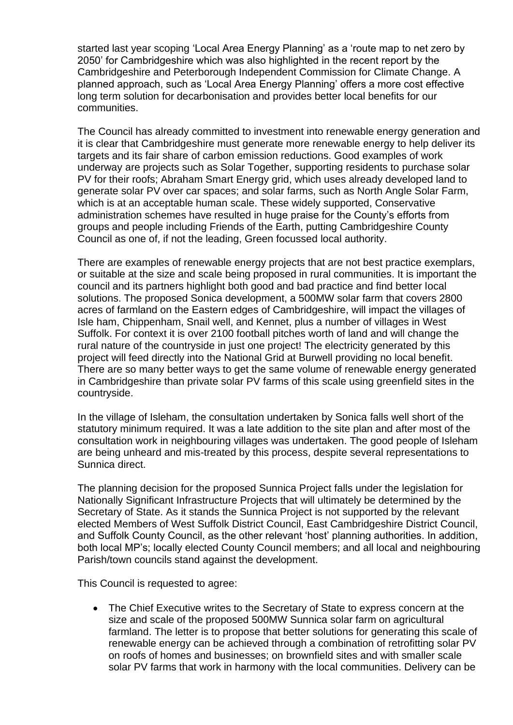started last year scoping 'Local Area Energy Planning' as a 'route map to net zero by 2050' for Cambridgeshire which was also highlighted in the recent report by the Cambridgeshire and Peterborough Independent Commission for Climate Change. A planned approach, such as 'Local Area Energy Planning' offers a more cost effective long term solution for decarbonisation and provides better local benefits for our communities.

The Council has already committed to investment into renewable energy generation and it is clear that Cambridgeshire must generate more renewable energy to help deliver its targets and its fair share of carbon emission reductions. Good examples of work underway are projects such as Solar Together, supporting residents to purchase solar PV for their roofs; Abraham Smart Energy grid, which uses already developed land to generate solar PV over car spaces; and solar farms, such as North Angle Solar Farm, which is at an acceptable human scale. These widely supported, Conservative administration schemes have resulted in huge praise for the County's efforts from groups and people including Friends of the Earth, putting Cambridgeshire County Council as one of, if not the leading, Green focussed local authority.

There are examples of renewable energy projects that are not best practice exemplars, or suitable at the size and scale being proposed in rural communities. It is important the council and its partners highlight both good and bad practice and find better local solutions. The proposed Sonica development, a 500MW solar farm that covers 2800 acres of farmland on the Eastern edges of Cambridgeshire, will impact the villages of Isle ham, Chippenham, Snail well, and Kennet, plus a number of villages in West Suffolk. For context it is over 2100 football pitches worth of land and will change the rural nature of the countryside in just one project! The electricity generated by this project will feed directly into the National Grid at Burwell providing no local benefit. There are so many better ways to get the same volume of renewable energy generated in Cambridgeshire than private solar PV farms of this scale using greenfield sites in the countryside.

In the village of Isleham, the consultation undertaken by Sonica falls well short of the statutory minimum required. It was a late addition to the site plan and after most of the consultation work in neighbouring villages was undertaken. The good people of Isleham are being unheard and mis-treated by this process, despite several representations to Sunnica direct.

The planning decision for the proposed Sunnica Project falls under the legislation for Nationally Significant Infrastructure Projects that will ultimately be determined by the Secretary of State. As it stands the Sunnica Project is not supported by the relevant elected Members of West Suffolk District Council, East Cambridgeshire District Council, and Suffolk County Council, as the other relevant 'host' planning authorities. In addition, both local MP's; locally elected County Council members; and all local and neighbouring Parish/town councils stand against the development.

This Council is requested to agree:

• The Chief Executive writes to the Secretary of State to express concern at the size and scale of the proposed 500MW Sunnica solar farm on agricultural farmland. The letter is to propose that better solutions for generating this scale of renewable energy can be achieved through a combination of retrofitting solar PV on roofs of homes and businesses; on brownfield sites and with smaller scale solar PV farms that work in harmony with the local communities. Delivery can be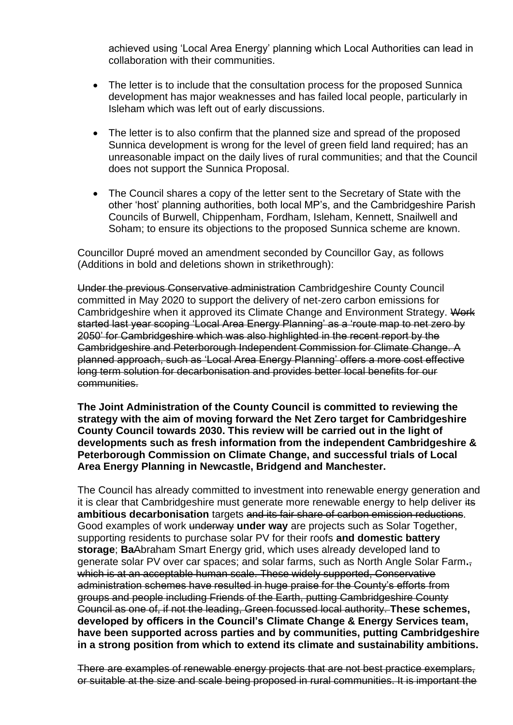achieved using 'Local Area Energy' planning which Local Authorities can lead in collaboration with their communities.

- The letter is to include that the consultation process for the proposed Sunnica development has major weaknesses and has failed local people, particularly in Isleham which was left out of early discussions.
- The letter is to also confirm that the planned size and spread of the proposed Sunnica development is wrong for the level of green field land required; has an unreasonable impact on the daily lives of rural communities; and that the Council does not support the Sunnica Proposal.
- The Council shares a copy of the letter sent to the Secretary of State with the other 'host' planning authorities, both local MP's, and the Cambridgeshire Parish Councils of Burwell, Chippenham, Fordham, Isleham, Kennett, Snailwell and Soham; to ensure its objections to the proposed Sunnica scheme are known.

Councillor Dupré moved an amendment seconded by Councillor Gay, as follows (Additions in bold and deletions shown in strikethrough):

Under the previous Conservative administration Cambridgeshire County Council committed in May 2020 to support the delivery of net-zero carbon emissions for Cambridgeshire when it approved its Climate Change and Environment Strategy. Work started last year scoping 'Local Area Energy Planning' as a 'route map to net zero by 2050' for Cambridgeshire which was also highlighted in the recent report by the Cambridgeshire and Peterborough Independent Commission for Climate Change. A planned approach, such as 'Local Area Energy Planning' offers a more cost effective long term solution for decarbonisation and provides better local benefits for our communities.

**The Joint Administration of the County Council is committed to reviewing the strategy with the aim of moving forward the Net Zero target for Cambridgeshire County Council towards 2030. This review will be carried out in the light of developments such as fresh information from the independent Cambridgeshire & Peterborough Commission on Climate Change, and successful trials of Local Area Energy Planning in Newcastle, Bridgend and Manchester.**

The Council has already committed to investment into renewable energy generation and it is clear that Cambridgeshire must generate more renewable energy to help deliver its **ambitious decarbonisation** targets and its fair share of carbon emission reductions. Good examples of work underway under way are projects such as Solar Together. supporting residents to purchase solar PV for their roofs **and domestic battery storage**; **Ba**Abraham Smart Energy grid, which uses already developed land to generate solar PV over car spaces; and solar farms, such as North Angle Solar Farm**.**, which is at an acceptable human scale. These widely supported, Conservative administration schemes have resulted in huge praise for the County's efforts from groups and people including Friends of the Earth, putting Cambridgeshire County Council as one of, if not the leading, Green focussed local authority. **These schemes, developed by officers in the Council's Climate Change & Energy Services team, have been supported across parties and by communities, putting Cambridgeshire in a strong position from which to extend its climate and sustainability ambitions.**

There are examples of renewable energy projects that are not best practice exemplars, or suitable at the size and scale being proposed in rural communities. It is important the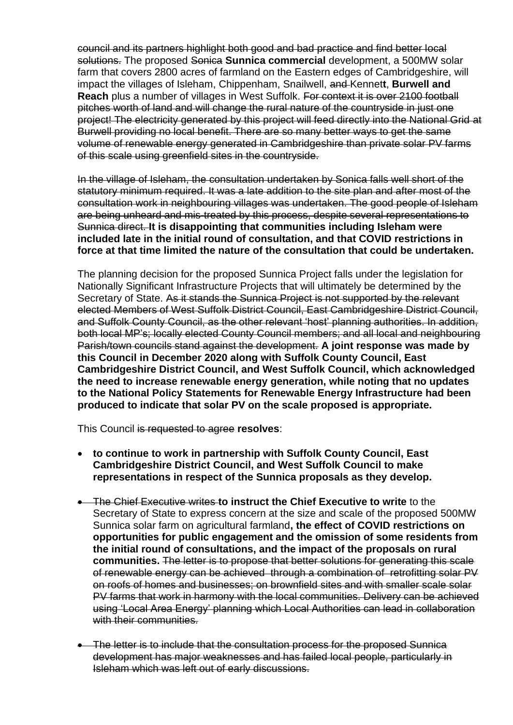council and its partners highlight both good and bad practice and find better local solutions. The proposed Sonica **Sunnica commercial** development, a 500MW solar farm that covers 2800 acres of farmland on the Eastern edges of Cambridgeshire, will impact the villages of Isleham, Chippenham, Snailwell, and Kennet**t**, **Burwell and Reach** plus a number of villages in West Suffolk. For context it is over 2100 football pitches worth of land and will change the rural nature of the countryside in just one project! The electricity generated by this project will feed directly into the National Grid at Burwell providing no local benefit. There are so many better ways to get the same volume of renewable energy generated in Cambridgeshire than private solar PV farms of this scale using greenfield sites in the countryside.

In the village of Isleham, the consultation undertaken by Sonica falls well short of the statutory minimum required. It was a late addition to the site plan and after most of the consultation work in neighbouring villages was undertaken. The good people of Isleham are being unheard and mis-treated by this process, despite several representations to Sunnica direct. **It is disappointing that communities including Isleham were included late in the initial round of consultation, and that COVID restrictions in force at that time limited the nature of the consultation that could be undertaken.** 

The planning decision for the proposed Sunnica Project falls under the legislation for Nationally Significant Infrastructure Projects that will ultimately be determined by the Secretary of State. As it stands the Sunnica Project is not supported by the relevant elected Members of West Suffolk District Council, East Cambridgeshire District Council, and Suffolk County Council, as the other relevant 'host' planning authorities. In addition, both local MP's; locally elected County Council members; and all local and neighbouring Parish/town councils stand against the development. **A joint response was made by this Council in December 2020 along with Suffolk County Council, East Cambridgeshire District Council, and West Suffolk Council, which acknowledged the need to increase renewable energy generation, while noting that no updates to the National Policy Statements for Renewable Energy Infrastructure had been produced to indicate that solar PV on the scale proposed is appropriate.**

This Council is requested to agree **resolves**:

- **to continue to work in partnership with Suffolk County Council, East Cambridgeshire District Council, and West Suffolk Council to make representations in respect of the Sunnica proposals as they develop.**
- The Chief Executive writes **to instruct the Chief Executive to write** to the Secretary of State to express concern at the size and scale of the proposed 500MW Sunnica solar farm on agricultural farmland**, the effect of COVID restrictions on opportunities for public engagement and the omission of some residents from the initial round of consultations, and the impact of the proposals on rural communities.** The letter is to propose that better solutions for generating this scale of renewable energy can be achieved through a combination of retrofitting solar PV on roofs of homes and businesses; on brownfield sites and with smaller scale solar PV farms that work in harmony with the local communities. Delivery can be achieved using 'Local Area Energy' planning which Local Authorities can lead in collaboration with their communities.
- The letter is to include that the consultation process for the proposed Sunnica development has major weaknesses and has failed local people, particularly in Isleham which was left out of early discussions.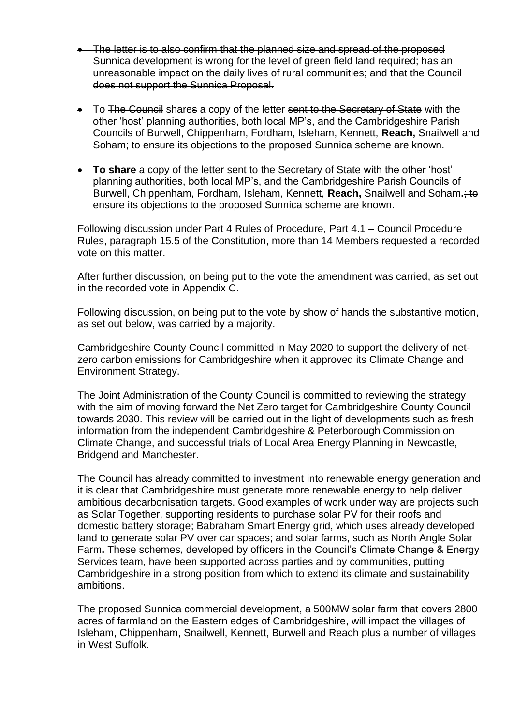- The letter is to also confirm that the planned size and spread of the proposed Sunnica development is wrong for the level of green field land required; has an unreasonable impact on the daily lives of rural communities; and that the Council does not support the Sunnica Proposal.
- To The Council shares a copy of the letter sent to the Secretary of State with the other 'host' planning authorities, both local MP's, and the Cambridgeshire Parish Councils of Burwell, Chippenham, Fordham, Isleham, Kennett, **Reach,** Snailwell and Soham; to ensure its objections to the proposed Sunnica scheme are known.
- **To share** a copy of the letter sent to the Secretary of State with the other 'host' planning authorities, both local MP's, and the Cambridgeshire Parish Councils of Burwell, Chippenham, Fordham, Isleham, Kennett, **Reach,** Snailwell and Soham**.**; to ensure its objections to the proposed Sunnica scheme are known.

Following discussion under Part 4 Rules of Procedure, Part 4.1 – Council Procedure Rules, paragraph 15.5 of the Constitution, more than 14 Members requested a recorded vote on this matter.

After further discussion, on being put to the vote the amendment was carried, as set out in the recorded vote in Appendix C.

Following discussion, on being put to the vote by show of hands the substantive motion, as set out below, was carried by a majority.

Cambridgeshire County Council committed in May 2020 to support the delivery of netzero carbon emissions for Cambridgeshire when it approved its Climate Change and Environment Strategy.

The Joint Administration of the County Council is committed to reviewing the strategy with the aim of moving forward the Net Zero target for Cambridgeshire County Council towards 2030. This review will be carried out in the light of developments such as fresh information from the independent Cambridgeshire & Peterborough Commission on Climate Change, and successful trials of Local Area Energy Planning in Newcastle, Bridgend and Manchester.

The Council has already committed to investment into renewable energy generation and it is clear that Cambridgeshire must generate more renewable energy to help deliver ambitious decarbonisation targets. Good examples of work under way are projects such as Solar Together, supporting residents to purchase solar PV for their roofs and domestic battery storage; Babraham Smart Energy grid, which uses already developed land to generate solar PV over car spaces; and solar farms, such as North Angle Solar Farm**.** These schemes, developed by officers in the Council's Climate Change & Energy Services team, have been supported across parties and by communities, putting Cambridgeshire in a strong position from which to extend its climate and sustainability ambitions.

The proposed Sunnica commercial development, a 500MW solar farm that covers 2800 acres of farmland on the Eastern edges of Cambridgeshire, will impact the villages of Isleham, Chippenham, Snailwell, Kennett, Burwell and Reach plus a number of villages in West Suffolk.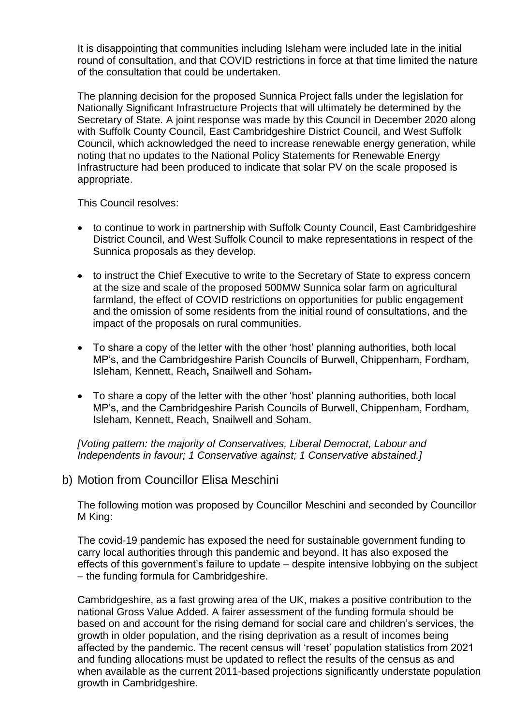It is disappointing that communities including Isleham were included late in the initial round of consultation, and that COVID restrictions in force at that time limited the nature of the consultation that could be undertaken.

The planning decision for the proposed Sunnica Project falls under the legislation for Nationally Significant Infrastructure Projects that will ultimately be determined by the Secretary of State. A joint response was made by this Council in December 2020 along with Suffolk County Council, East Cambridgeshire District Council, and West Suffolk Council, which acknowledged the need to increase renewable energy generation, while noting that no updates to the National Policy Statements for Renewable Energy Infrastructure had been produced to indicate that solar PV on the scale proposed is appropriate.

This Council resolves:

- to continue to work in partnership with Suffolk County Council, East Cambridgeshire District Council, and West Suffolk Council to make representations in respect of the Sunnica proposals as they develop.
- to instruct the Chief Executive to write to the Secretary of State to express concern at the size and scale of the proposed 500MW Sunnica solar farm on agricultural farmland, the effect of COVID restrictions on opportunities for public engagement and the omission of some residents from the initial round of consultations, and the impact of the proposals on rural communities.
- To share a copy of the letter with the other 'host' planning authorities, both local MP's, and the Cambridgeshire Parish Councils of Burwell, Chippenham, Fordham, Isleham, Kennett, Reach**,** Snailwell and Soham.
- To share a copy of the letter with the other 'host' planning authorities, both local MP's, and the Cambridgeshire Parish Councils of Burwell, Chippenham, Fordham, Isleham, Kennett, Reach, Snailwell and Soham.

*[Voting pattern: the majority of Conservatives, Liberal Democrat, Labour and Independents in favour; 1 Conservative against; 1 Conservative abstained.]*

b) Motion from Councillor Elisa Meschini

The following motion was proposed by Councillor Meschini and seconded by Councillor M King:

The covid-19 pandemic has exposed the need for sustainable government funding to carry local authorities through this pandemic and beyond. It has also exposed the effects of this government's failure to update – despite intensive lobbying on the subject – the funding formula for Cambridgeshire.

Cambridgeshire, as a fast growing area of the UK, makes a positive contribution to the national Gross Value Added. A fairer assessment of the funding formula should be based on and account for the rising demand for social care and children's services, the growth in older population, and the rising deprivation as a result of incomes being affected by the pandemic. The recent census will 'reset' population statistics from 2021 and funding allocations must be updated to reflect the results of the census as and when available as the current 2011-based projections significantly understate population growth in Cambridgeshire.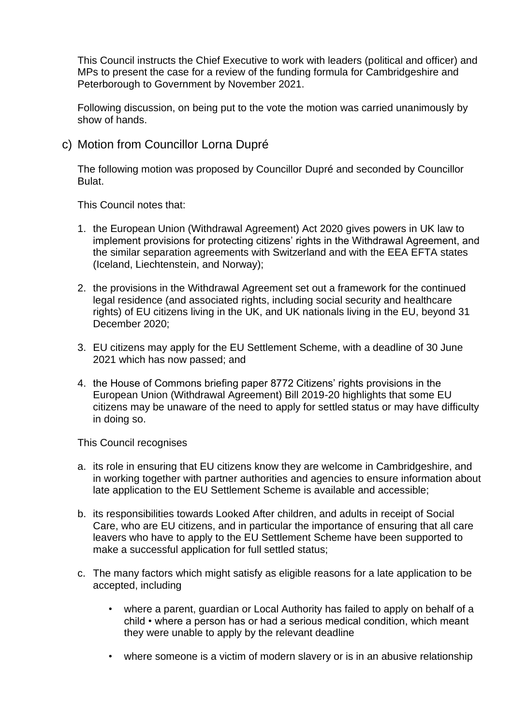This Council instructs the Chief Executive to work with leaders (political and officer) and MPs to present the case for a review of the funding formula for Cambridgeshire and Peterborough to Government by November 2021.

Following discussion, on being put to the vote the motion was carried unanimously by show of hands.

c) Motion from Councillor Lorna Dupré

The following motion was proposed by Councillor Dupré and seconded by Councillor Bulat.

This Council notes that:

- 1. the European Union (Withdrawal Agreement) Act 2020 gives powers in UK law to implement provisions for protecting citizens' rights in the Withdrawal Agreement, and the similar separation agreements with Switzerland and with the EEA EFTA states (Iceland, Liechtenstein, and Norway);
- 2. the provisions in the Withdrawal Agreement set out a framework for the continued legal residence (and associated rights, including social security and healthcare rights) of EU citizens living in the UK, and UK nationals living in the EU, beyond 31 December 2020;
- 3. EU citizens may apply for the EU Settlement Scheme, with a deadline of 30 June 2021 which has now passed; and
- 4. the House of Commons briefing paper 8772 Citizens' rights provisions in the European Union (Withdrawal Agreement) Bill 2019-20 highlights that some EU citizens may be unaware of the need to apply for settled status or may have difficulty in doing so.

This Council recognises

- a. its role in ensuring that EU citizens know they are welcome in Cambridgeshire, and in working together with partner authorities and agencies to ensure information about late application to the EU Settlement Scheme is available and accessible;
- b. its responsibilities towards Looked After children, and adults in receipt of Social Care, who are EU citizens, and in particular the importance of ensuring that all care leavers who have to apply to the EU Settlement Scheme have been supported to make a successful application for full settled status;
- c. The many factors which might satisfy as eligible reasons for a late application to be accepted, including
	- where a parent, quardian or Local Authority has failed to apply on behalf of a child • where a person has or had a serious medical condition, which meant they were unable to apply by the relevant deadline
	- where someone is a victim of modern slavery or is in an abusive relationship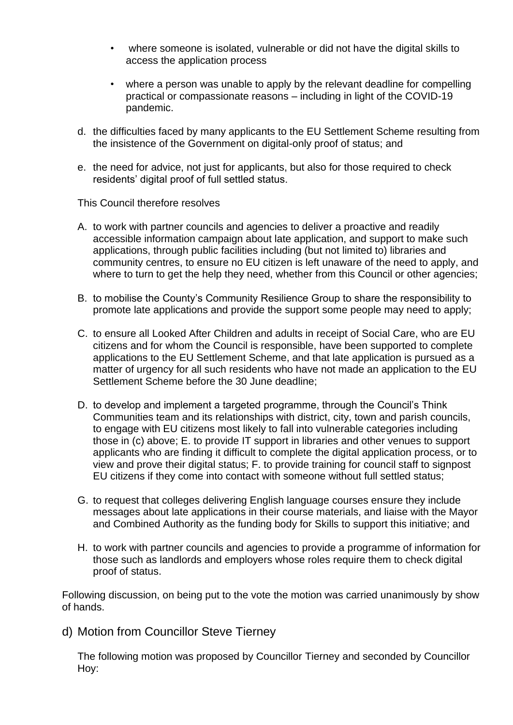- where someone is isolated, vulnerable or did not have the digital skills to access the application process
- where a person was unable to apply by the relevant deadline for compelling practical or compassionate reasons – including in light of the COVID-19 pandemic.
- d. the difficulties faced by many applicants to the EU Settlement Scheme resulting from the insistence of the Government on digital-only proof of status; and
- e. the need for advice, not just for applicants, but also for those required to check residents' digital proof of full settled status.

This Council therefore resolves

- A. to work with partner councils and agencies to deliver a proactive and readily accessible information campaign about late application, and support to make such applications, through public facilities including (but not limited to) libraries and community centres, to ensure no EU citizen is left unaware of the need to apply, and where to turn to get the help they need, whether from this Council or other agencies;
- B. to mobilise the County's Community Resilience Group to share the responsibility to promote late applications and provide the support some people may need to apply;
- C. to ensure all Looked After Children and adults in receipt of Social Care, who are EU citizens and for whom the Council is responsible, have been supported to complete applications to the EU Settlement Scheme, and that late application is pursued as a matter of urgency for all such residents who have not made an application to the EU Settlement Scheme before the 30 June deadline;
- D. to develop and implement a targeted programme, through the Council's Think Communities team and its relationships with district, city, town and parish councils, to engage with EU citizens most likely to fall into vulnerable categories including those in (c) above; E. to provide IT support in libraries and other venues to support applicants who are finding it difficult to complete the digital application process, or to view and prove their digital status; F. to provide training for council staff to signpost EU citizens if they come into contact with someone without full settled status;
- G. to request that colleges delivering English language courses ensure they include messages about late applications in their course materials, and liaise with the Mayor and Combined Authority as the funding body for Skills to support this initiative; and
- H. to work with partner councils and agencies to provide a programme of information for those such as landlords and employers whose roles require them to check digital proof of status.

Following discussion, on being put to the vote the motion was carried unanimously by show of hands.

d) Motion from Councillor Steve Tierney

The following motion was proposed by Councillor Tierney and seconded by Councillor Hoy: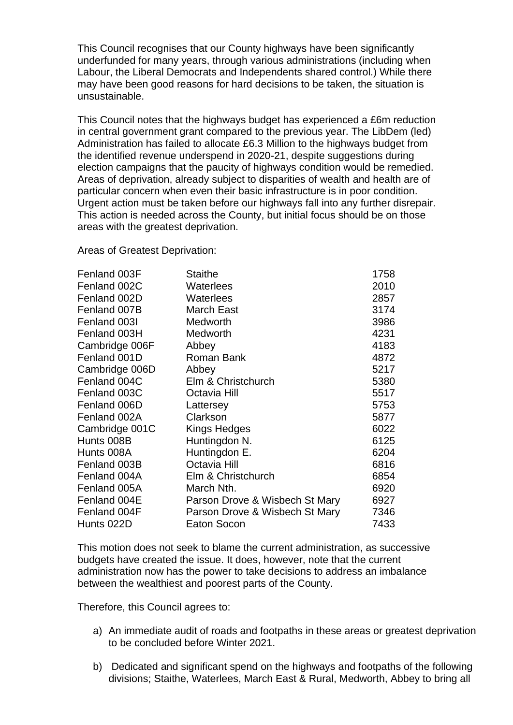This Council recognises that our County highways have been significantly underfunded for many years, through various administrations (including when Labour, the Liberal Democrats and Independents shared control.) While there may have been good reasons for hard decisions to be taken, the situation is unsustainable.

This Council notes that the highways budget has experienced a £6m reduction in central government grant compared to the previous year. The LibDem (led) Administration has failed to allocate £6.3 Million to the highways budget from the identified revenue underspend in 2020-21, despite suggestions during election campaigns that the paucity of highways condition would be remedied. Areas of deprivation, already subject to disparities of wealth and health are of particular concern when even their basic infrastructure is in poor condition. Urgent action must be taken before our highways fall into any further disrepair. This action is needed across the County, but initial focus should be on those areas with the greatest deprivation.

Areas of Greatest Deprivation:

| Fenland 003F   | <b>Staithe</b>                 | 1758 |
|----------------|--------------------------------|------|
| Fenland 002C   | Waterlees                      | 2010 |
| Fenland 002D   | Waterlees                      | 2857 |
| Fenland 007B   | <b>March East</b>              | 3174 |
| Fenland 003I   | Medworth                       | 3986 |
| Fenland 003H   | Medworth                       | 4231 |
| Cambridge 006F | Abbey                          | 4183 |
| Fenland 001D   | Roman Bank                     | 4872 |
| Cambridge 006D | Abbey                          | 5217 |
| Fenland 004C   | Elm & Christchurch             | 5380 |
| Fenland 003C   | Octavia Hill                   | 5517 |
| Fenland 006D   | Lattersey                      | 5753 |
| Fenland 002A   | Clarkson                       | 5877 |
| Cambridge 001C | Kings Hedges                   | 6022 |
| Hunts 008B     | Huntingdon N.                  | 6125 |
| Hunts 008A     | Huntingdon E.                  | 6204 |
| Fenland 003B   | Octavia Hill                   | 6816 |
| Fenland 004A   | Elm & Christchurch             | 6854 |
| Fenland 005A   | March Nth.                     | 6920 |
| Fenland 004E   | Parson Drove & Wisbech St Mary | 6927 |
| Fenland 004F   | Parson Drove & Wisbech St Mary | 7346 |
| Hunts 022D     | Eaton Socon                    | 7433 |

This motion does not seek to blame the current administration, as successive budgets have created the issue. It does, however, note that the current administration now has the power to take decisions to address an imbalance between the wealthiest and poorest parts of the County.

Therefore, this Council agrees to:

- a) An immediate audit of roads and footpaths in these areas or greatest deprivation to be concluded before Winter 2021.
- b) Dedicated and significant spend on the highways and footpaths of the following divisions; Staithe, Waterlees, March East & Rural, Medworth, Abbey to bring all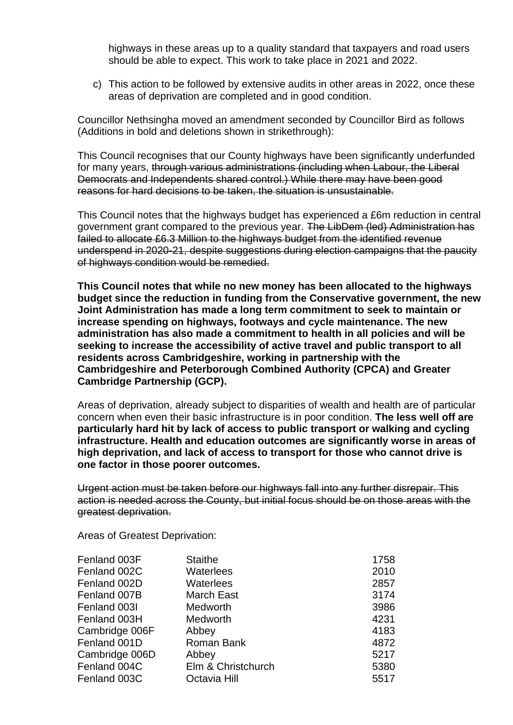highways in these areas up to a quality standard that taxpayers and road users should be able to expect. This work to take place in 2021 and 2022.

c) This action to be followed by extensive audits in other areas in 2022, once these areas of deprivation are completed and in good condition.

Councillor Nethsingha moved an amendment seconded by Councillor Bird as follows (Additions in bold and deletions shown in strikethrough):

This Council recognises that our County highways have been significantly underfunded for many years, through various administrations (including when Labour, the Liberal Democrats and Independents shared control.) While there may have been good reasons for hard decisions to be taken, the situation is unsustainable.

This Council notes that the highways budget has experienced a £6m reduction in central government grant compared to the previous year. The LibDem (led) Administration has failed to allocate £6.3 Million to the highways budget from the identified revenue underspend in 2020-21, despite suggestions during election campaigns that the paucity of highways condition would be remedied.

**This Council notes that while no new money has been allocated to the highways budget since the reduction in funding from the Conservative government, the new Joint Administration has made a long term commitment to seek to maintain or increase spending on highways, footways and cycle maintenance. The new administration has also made a commitment to health in all policies and will be seeking to increase the accessibility of active travel and public transport to all residents across Cambridgeshire, working in partnership with the Cambridgeshire and Peterborough Combined Authority (CPCA) and Greater Cambridge Partnership (GCP).**

Areas of deprivation, already subject to disparities of wealth and health are of particular concern when even their basic infrastructure is in poor condition. **The less well off are particularly hard hit by lack of access to public transport or walking and cycling infrastructure. Health and education outcomes are significantly worse in areas of high deprivation, and lack of access to transport for those who cannot drive is one factor in those poorer outcomes.**

Urgent action must be taken before our highways fall into any further disrepair. This action is needed across the County, but initial focus should be on those areas with the greatest deprivation.

Areas of Greatest Deprivation:

| Fenland 003F   | <b>Staithe</b>     | 1758 |
|----------------|--------------------|------|
| Fenland 002C   | Waterlees          | 2010 |
| Fenland 002D   | Waterlees          | 2857 |
| Fenland 007B   | <b>March East</b>  | 3174 |
| Fenland 003I   | <b>Medworth</b>    | 3986 |
| Fenland 003H   | <b>Medworth</b>    | 4231 |
| Cambridge 006F | Abbey              | 4183 |
| Fenland 001D   | Roman Bank         | 4872 |
| Cambridge 006D | Abbey              | 5217 |
| Fenland 004C   | Elm & Christchurch | 5380 |
| Fenland 003C   | Octavia Hill       | 5517 |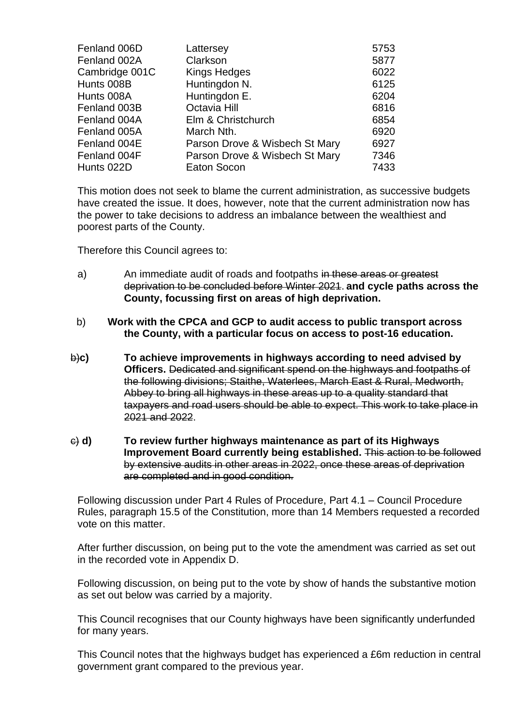| Fenland 006D   | Lattersey                      | 5753 |
|----------------|--------------------------------|------|
| Fenland 002A   | Clarkson                       | 5877 |
| Cambridge 001C | <b>Kings Hedges</b>            | 6022 |
| Hunts 008B     | Huntingdon N.                  | 6125 |
| Hunts 008A     | Huntingdon E.                  | 6204 |
| Fenland 003B   | Octavia Hill                   | 6816 |
| Fenland 004A   | Elm & Christchurch             | 6854 |
| Fenland 005A   | March Nth.                     | 6920 |
| Fenland 004E   | Parson Drove & Wisbech St Mary | 6927 |
| Fenland 004F   | Parson Drove & Wisbech St Mary | 7346 |
| Hunts 022D     | Eaton Socon                    | 7433 |

This motion does not seek to blame the current administration, as successive budgets have created the issue. It does, however, note that the current administration now has the power to take decisions to address an imbalance between the wealthiest and poorest parts of the County.

Therefore this Council agrees to:

- a) An immediate audit of roads and footpaths in these areas or greatest deprivation to be concluded before Winter 2021. **and cycle paths across the County, focussing first on areas of high deprivation.**
- b) **Work with the CPCA and GCP to audit access to public transport across the County, with a particular focus on access to post-16 education.**
- b)**c) To achieve improvements in highways according to need advised by Officers.** Dedicated and significant spend on the highways and footpaths of the following divisions; Staithe, Waterlees, March East & Rural, Medworth, Abbey to bring all highways in these areas up to a quality standard that taxpayers and road users should be able to expect. This work to take place in 2021 and 2022.
- c) **d) To review further highways maintenance as part of its Highways Improvement Board currently being established.** This action to be followed by extensive audits in other areas in 2022, once these areas of deprivation are completed and in good condition.

Following discussion under Part 4 Rules of Procedure, Part 4.1 – Council Procedure Rules, paragraph 15.5 of the Constitution, more than 14 Members requested a recorded vote on this matter.

After further discussion, on being put to the vote the amendment was carried as set out in the recorded vote in Appendix D.

Following discussion, on being put to the vote by show of hands the substantive motion as set out below was carried by a majority.

This Council recognises that our County highways have been significantly underfunded for many years.

This Council notes that the highways budget has experienced a £6m reduction in central government grant compared to the previous year.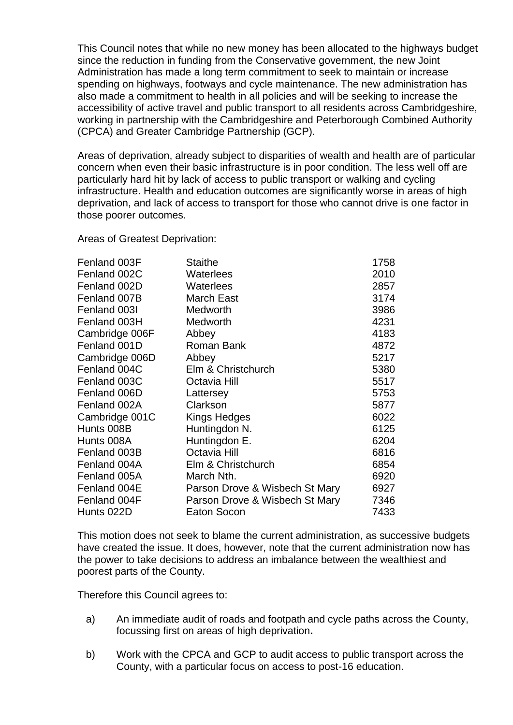This Council notes that while no new money has been allocated to the highways budget since the reduction in funding from the Conservative government, the new Joint Administration has made a long term commitment to seek to maintain or increase spending on highways, footways and cycle maintenance. The new administration has also made a commitment to health in all policies and will be seeking to increase the accessibility of active travel and public transport to all residents across Cambridgeshire, working in partnership with the Cambridgeshire and Peterborough Combined Authority (CPCA) and Greater Cambridge Partnership (GCP).

Areas of deprivation, already subject to disparities of wealth and health are of particular concern when even their basic infrastructure is in poor condition. The less well off are particularly hard hit by lack of access to public transport or walking and cycling infrastructure. Health and education outcomes are significantly worse in areas of high deprivation, and lack of access to transport for those who cannot drive is one factor in those poorer outcomes.

Areas of Greatest Deprivation:

| Fenland 003F   | <b>Staithe</b>                 | 1758 |
|----------------|--------------------------------|------|
| Fenland 002C   | Waterlees                      | 2010 |
| Fenland 002D   | Waterlees                      | 2857 |
| Fenland 007B   | <b>March East</b>              | 3174 |
| Fenland 003I   | Medworth                       | 3986 |
| Fenland 003H   | Medworth                       | 4231 |
| Cambridge 006F | Abbey                          | 4183 |
| Fenland 001D   | Roman Bank                     | 4872 |
| Cambridge 006D | Abbey                          | 5217 |
| Fenland 004C   | Elm & Christchurch             | 5380 |
| Fenland 003C   | Octavia Hill                   | 5517 |
| Fenland 006D   | Lattersey                      | 5753 |
| Fenland 002A   | Clarkson                       | 5877 |
| Cambridge 001C | Kings Hedges                   | 6022 |
| Hunts 008B     | Huntingdon N.                  | 6125 |
| Hunts 008A     | Huntingdon E.                  | 6204 |
| Fenland 003B   | Octavia Hill                   | 6816 |
| Fenland 004A   | Elm & Christchurch             | 6854 |
| Fenland 005A   | March Nth.                     | 6920 |
| Fenland 004E   | Parson Drove & Wisbech St Mary | 6927 |
| Fenland 004F   | Parson Drove & Wisbech St Mary | 7346 |
| Hunts 022D     | Eaton Socon                    | 7433 |

This motion does not seek to blame the current administration, as successive budgets have created the issue. It does, however, note that the current administration now has the power to take decisions to address an imbalance between the wealthiest and poorest parts of the County.

Therefore this Council agrees to:

- a) An immediate audit of roads and footpath and cycle paths across the County, focussing first on areas of high deprivation**.**
- b) Work with the CPCA and GCP to audit access to public transport across the County, with a particular focus on access to post-16 education.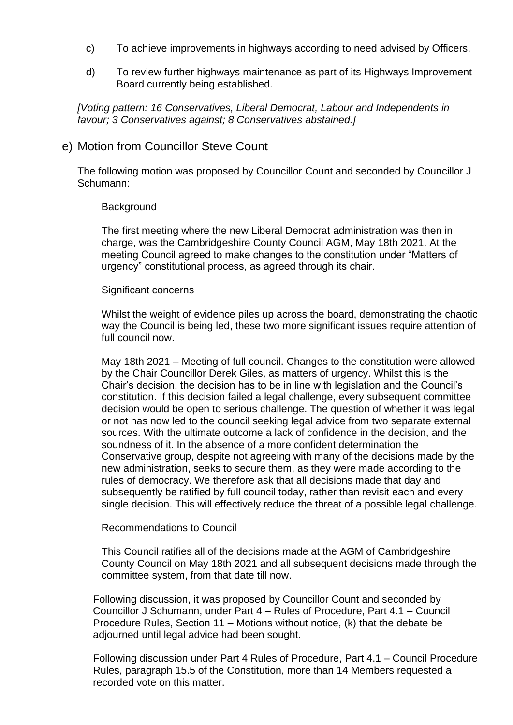- c) To achieve improvements in highways according to need advised by Officers.
- d) To review further highways maintenance as part of its Highways Improvement Board currently being established.

*[Voting pattern: 16 Conservatives, Liberal Democrat, Labour and Independents in favour; 3 Conservatives against; 8 Conservatives abstained.]*

#### e) Motion from Councillor Steve Count

The following motion was proposed by Councillor Count and seconded by Councillor J Schumann:

#### **Background**

The first meeting where the new Liberal Democrat administration was then in charge, was the Cambridgeshire County Council AGM, May 18th 2021. At the meeting Council agreed to make changes to the constitution under "Matters of urgency" constitutional process, as agreed through its chair.

#### Significant concerns

Whilst the weight of evidence piles up across the board, demonstrating the chaotic way the Council is being led, these two more significant issues require attention of full council now.

May 18th 2021 – Meeting of full council. Changes to the constitution were allowed by the Chair Councillor Derek Giles, as matters of urgency. Whilst this is the Chair's decision, the decision has to be in line with legislation and the Council's constitution. If this decision failed a legal challenge, every subsequent committee decision would be open to serious challenge. The question of whether it was legal or not has now led to the council seeking legal advice from two separate external sources. With the ultimate outcome a lack of confidence in the decision, and the soundness of it. In the absence of a more confident determination the Conservative group, despite not agreeing with many of the decisions made by the new administration, seeks to secure them, as they were made according to the rules of democracy. We therefore ask that all decisions made that day and subsequently be ratified by full council today, rather than revisit each and every single decision. This will effectively reduce the threat of a possible legal challenge.

#### Recommendations to Council

This Council ratifies all of the decisions made at the AGM of Cambridgeshire County Council on May 18th 2021 and all subsequent decisions made through the committee system, from that date till now.

Following discussion, it was proposed by Councillor Count and seconded by Councillor J Schumann, under Part 4 – Rules of Procedure, Part 4.1 – Council Procedure Rules, Section 11 – Motions without notice, (k) that the debate be adjourned until legal advice had been sought.

Following discussion under Part 4 Rules of Procedure, Part 4.1 – Council Procedure Rules, paragraph 15.5 of the Constitution, more than 14 Members requested a recorded vote on this matter.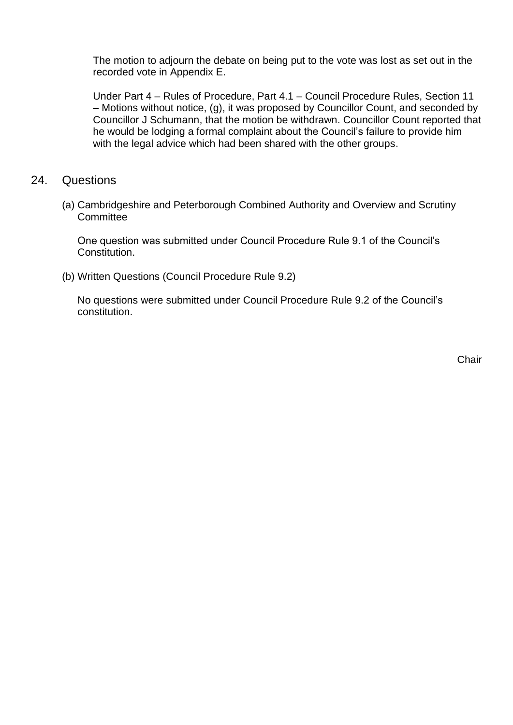The motion to adjourn the debate on being put to the vote was lost as set out in the recorded vote in Appendix E.

Under Part 4 – Rules of Procedure, Part 4.1 – Council Procedure Rules, Section 11 – Motions without notice, (g), it was proposed by Councillor Count, and seconded by Councillor J Schumann, that the motion be withdrawn. Councillor Count reported that he would be lodging a formal complaint about the Council's failure to provide him with the legal advice which had been shared with the other groups.

- 24. Questions
	- (a) Cambridgeshire and Peterborough Combined Authority and Overview and Scrutiny Committee

One question was submitted under Council Procedure Rule 9.1 of the Council's Constitution.

(b) Written Questions (Council Procedure Rule 9.2)

No questions were submitted under Council Procedure Rule 9.2 of the Council's constitution.

**Chair**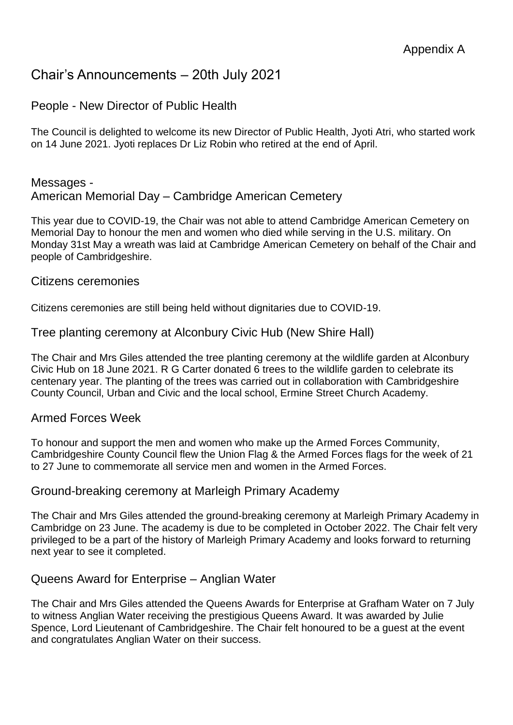## Chair's Announcements – 20th July 2021

### People - New Director of Public Health

The Council is delighted to welcome its new Director of Public Health, Jyoti Atri, who started work on 14 June 2021. Jyoti replaces Dr Liz Robin who retired at the end of April.

#### Messages - American Memorial Day – Cambridge American Cemetery

This year due to COVID-19, the Chair was not able to attend Cambridge American Cemetery on Memorial Day to honour the men and women who died while serving in the U.S. military. On Monday 31st May a wreath was laid at Cambridge American Cemetery on behalf of the Chair and people of Cambridgeshire.

#### Citizens ceremonies

Citizens ceremonies are still being held without dignitaries due to COVID-19.

#### Tree planting ceremony at Alconbury Civic Hub (New Shire Hall)

The Chair and Mrs Giles attended the tree planting ceremony at the wildlife garden at Alconbury Civic Hub on 18 June 2021. R G Carter donated 6 trees to the wildlife garden to celebrate its centenary year. The planting of the trees was carried out in collaboration with Cambridgeshire County Council, Urban and Civic and the local school, Ermine Street Church Academy.

#### Armed Forces Week

To honour and support the men and women who make up the Armed Forces Community, Cambridgeshire County Council flew the Union Flag & the Armed Forces flags for the week of 21 to 27 June to commemorate all service men and women in the Armed Forces.

#### Ground-breaking ceremony at Marleigh Primary Academy

The Chair and Mrs Giles attended the ground-breaking ceremony at Marleigh Primary Academy in Cambridge on 23 June. The academy is due to be completed in October 2022. The Chair felt very privileged to be a part of the history of Marleigh Primary Academy and looks forward to returning next year to see it completed.

#### Queens Award for Enterprise – Anglian Water

The Chair and Mrs Giles attended the Queens Awards for Enterprise at Grafham Water on 7 July to witness Anglian Water receiving the prestigious Queens Award. It was awarded by Julie Spence, Lord Lieutenant of Cambridgeshire. The Chair felt honoured to be a guest at the event and congratulates Anglian Water on their success.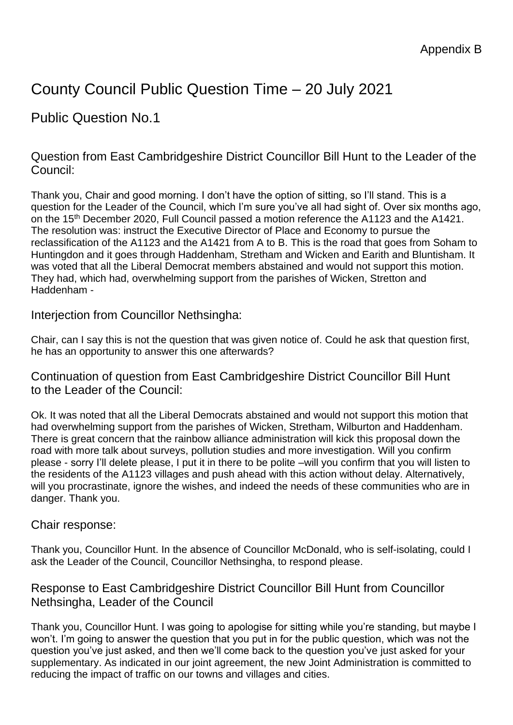# County Council Public Question Time – 20 July 2021

## Public Question No.1

Question from East Cambridgeshire District Councillor Bill Hunt to the Leader of the Council:

Thank you, Chair and good morning. I don't have the option of sitting, so I'll stand. This is a question for the Leader of the Council, which I'm sure you've all had sight of. Over six months ago, on the 15<sup>th</sup> December 2020, Full Council passed a motion reference the A1123 and the A1421. The resolution was: instruct the Executive Director of Place and Economy to pursue the reclassification of the A1123 and the A1421 from A to B. This is the road that goes from Soham to Huntingdon and it goes through Haddenham, Stretham and Wicken and Earith and Bluntisham. It was voted that all the Liberal Democrat members abstained and would not support this motion. They had, which had, overwhelming support from the parishes of Wicken, Stretton and Haddenham -

Interjection from Councillor Nethsingha:

Chair, can I say this is not the question that was given notice of. Could he ask that question first, he has an opportunity to answer this one afterwards?

Continuation of question from East Cambridgeshire District Councillor Bill Hunt to the Leader of the Council:

Ok. It was noted that all the Liberal Democrats abstained and would not support this motion that had overwhelming support from the parishes of Wicken, Stretham, Wilburton and Haddenham. There is great concern that the rainbow alliance administration will kick this proposal down the road with more talk about surveys, pollution studies and more investigation. Will you confirm please - sorry I'll delete please, I put it in there to be polite –will you confirm that you will listen to the residents of the A1123 villages and push ahead with this action without delay. Alternatively, will you procrastinate, ignore the wishes, and indeed the needs of these communities who are in danger. Thank you.

### Chair response:

Thank you, Councillor Hunt. In the absence of Councillor McDonald, who is self-isolating, could I ask the Leader of the Council, Councillor Nethsingha, to respond please.

### Response to East Cambridgeshire District Councillor Bill Hunt from Councillor Nethsingha, Leader of the Council

Thank you, Councillor Hunt. I was going to apologise for sitting while you're standing, but maybe I won't. I'm going to answer the question that you put in for the public question, which was not the question you've just asked, and then we'll come back to the question you've just asked for your supplementary. As indicated in our joint agreement, the new Joint Administration is committed to reducing the impact of traffic on our towns and villages and cities.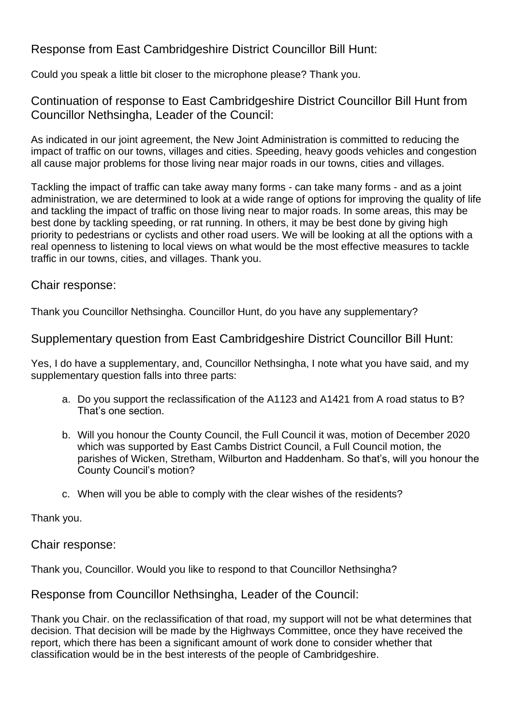### Response from East Cambridgeshire District Councillor Bill Hunt:

Could you speak a little bit closer to the microphone please? Thank you.

Continuation of response to East Cambridgeshire District Councillor Bill Hunt from Councillor Nethsingha, Leader of the Council:

As indicated in our joint agreement, the New Joint Administration is committed to reducing the impact of traffic on our towns, villages and cities. Speeding, heavy goods vehicles and congestion all cause major problems for those living near major roads in our towns, cities and villages.

Tackling the impact of traffic can take away many forms - can take many forms - and as a joint administration, we are determined to look at a wide range of options for improving the quality of life and tackling the impact of traffic on those living near to major roads. In some areas, this may be best done by tackling speeding, or rat running. In others, it may be best done by giving high priority to pedestrians or cyclists and other road users. We will be looking at all the options with a real openness to listening to local views on what would be the most effective measures to tackle traffic in our towns, cities, and villages. Thank you.

Chair response:

Thank you Councillor Nethsingha. Councillor Hunt, do you have any supplementary?

Supplementary question from East Cambridgeshire District Councillor Bill Hunt:

Yes, I do have a supplementary, and, Councillor Nethsingha, I note what you have said, and my supplementary question falls into three parts:

- a. Do you support the reclassification of the A1123 and A1421 from A road status to B? That's one section.
- b. Will you honour the County Council, the Full Council it was, motion of December 2020 which was supported by East Cambs District Council, a Full Council motion, the parishes of Wicken, Stretham, Wilburton and Haddenham. So that's, will you honour the County Council's motion?
- c. When will you be able to comply with the clear wishes of the residents?

Thank you.

Chair response:

Thank you, Councillor. Would you like to respond to that Councillor Nethsingha?

Response from Councillor Nethsingha, Leader of the Council:

Thank you Chair. on the reclassification of that road, my support will not be what determines that decision. That decision will be made by the Highways Committee, once they have received the report, which there has been a significant amount of work done to consider whether that classification would be in the best interests of the people of Cambridgeshire.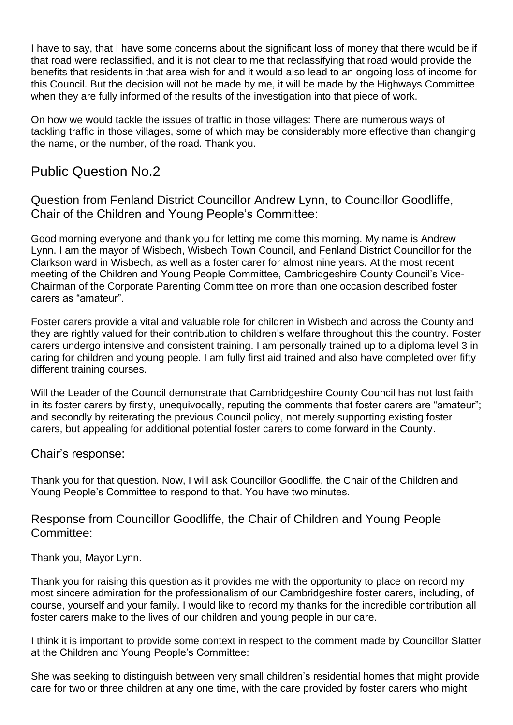I have to say, that I have some concerns about the significant loss of money that there would be if that road were reclassified, and it is not clear to me that reclassifying that road would provide the benefits that residents in that area wish for and it would also lead to an ongoing loss of income for this Council. But the decision will not be made by me, it will be made by the Highways Committee when they are fully informed of the results of the investigation into that piece of work.

On how we would tackle the issues of traffic in those villages: There are numerous ways of tackling traffic in those villages, some of which may be considerably more effective than changing the name, or the number, of the road. Thank you.

## Public Question No.2

Question from Fenland District Councillor Andrew Lynn, to Councillor Goodliffe, Chair of the Children and Young People's Committee:

Good morning everyone and thank you for letting me come this morning. My name is Andrew Lynn. I am the mayor of Wisbech, Wisbech Town Council, and Fenland District Councillor for the Clarkson ward in Wisbech, as well as a foster carer for almost nine years. At the most recent meeting of the Children and Young People Committee, Cambridgeshire County Council's Vice-Chairman of the Corporate Parenting Committee on more than one occasion described foster carers as "amateur".

Foster carers provide a vital and valuable role for children in Wisbech and across the County and they are rightly valued for their contribution to children's welfare throughout this the country. Foster carers undergo intensive and consistent training. I am personally trained up to a diploma level 3 in caring for children and young people. I am fully first aid trained and also have completed over fifty different training courses.

Will the Leader of the Council demonstrate that Cambridgeshire County Council has not lost faith in its foster carers by firstly, unequivocally, reputing the comments that foster carers are "amateur"; and secondly by reiterating the previous Council policy, not merely supporting existing foster carers, but appealing for additional potential foster carers to come forward in the County.

Chair's response:

Thank you for that question. Now, I will ask Councillor Goodliffe, the Chair of the Children and Young People's Committee to respond to that. You have two minutes.

Response from Councillor Goodliffe, the Chair of Children and Young People Committee:

Thank you, Mayor Lynn.

Thank you for raising this question as it provides me with the opportunity to place on record my most sincere admiration for the professionalism of our Cambridgeshire foster carers, including, of course, yourself and your family. I would like to record my thanks for the incredible contribution all foster carers make to the lives of our children and young people in our care.

I think it is important to provide some context in respect to the comment made by Councillor Slatter at the Children and Young People's Committee:

She was seeking to distinguish between very small children's residential homes that might provide care for two or three children at any one time, with the care provided by foster carers who might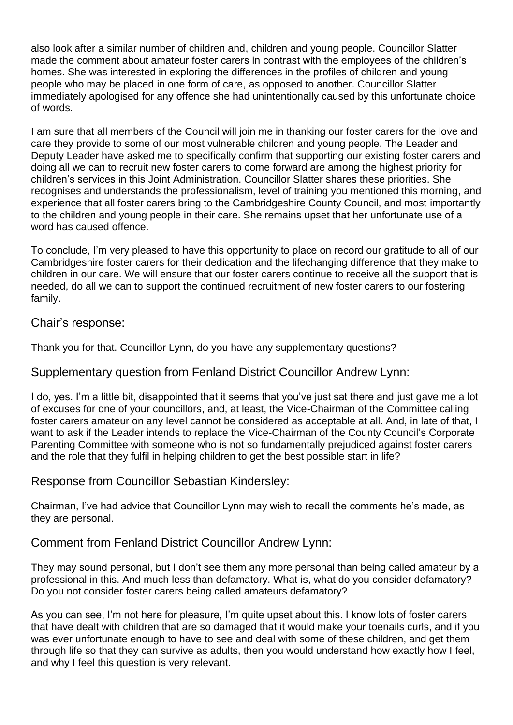also look after a similar number of children and, children and young people. Councillor Slatter made the comment about amateur foster carers in contrast with the employees of the children's homes. She was interested in exploring the differences in the profiles of children and young people who may be placed in one form of care, as opposed to another. Councillor Slatter immediately apologised for any offence she had unintentionally caused by this unfortunate choice of words.

I am sure that all members of the Council will join me in thanking our foster carers for the love and care they provide to some of our most vulnerable children and young people. The Leader and Deputy Leader have asked me to specifically confirm that supporting our existing foster carers and doing all we can to recruit new foster carers to come forward are among the highest priority for children's services in this Joint Administration. Councillor Slatter shares these priorities. She recognises and understands the professionalism, level of training you mentioned this morning, and experience that all foster carers bring to the Cambridgeshire County Council, and most importantly to the children and young people in their care. She remains upset that her unfortunate use of a word has caused offence.

To conclude, I'm very pleased to have this opportunity to place on record our gratitude to all of our Cambridgeshire foster carers for their dedication and the lifechanging difference that they make to children in our care. We will ensure that our foster carers continue to receive all the support that is needed, do all we can to support the continued recruitment of new foster carers to our fostering family.

Chair's response:

Thank you for that. Councillor Lynn, do you have any supplementary questions?

### Supplementary question from Fenland District Councillor Andrew Lynn:

I do, yes. I'm a little bit, disappointed that it seems that you've just sat there and just gave me a lot of excuses for one of your councillors, and, at least, the Vice-Chairman of the Committee calling foster carers amateur on any level cannot be considered as acceptable at all. And, in late of that, I want to ask if the Leader intends to replace the Vice-Chairman of the County Council's Corporate Parenting Committee with someone who is not so fundamentally prejudiced against foster carers and the role that they fulfil in helping children to get the best possible start in life?

### Response from Councillor Sebastian Kindersley:

Chairman, I've had advice that Councillor Lynn may wish to recall the comments he's made, as they are personal.

### Comment from Fenland District Councillor Andrew Lynn:

They may sound personal, but I don't see them any more personal than being called amateur by a professional in this. And much less than defamatory. What is, what do you consider defamatory? Do you not consider foster carers being called amateurs defamatory?

As you can see, I'm not here for pleasure, I'm quite upset about this. I know lots of foster carers that have dealt with children that are so damaged that it would make your toenails curls, and if you was ever unfortunate enough to have to see and deal with some of these children, and get them through life so that they can survive as adults, then you would understand how exactly how I feel, and why I feel this question is very relevant.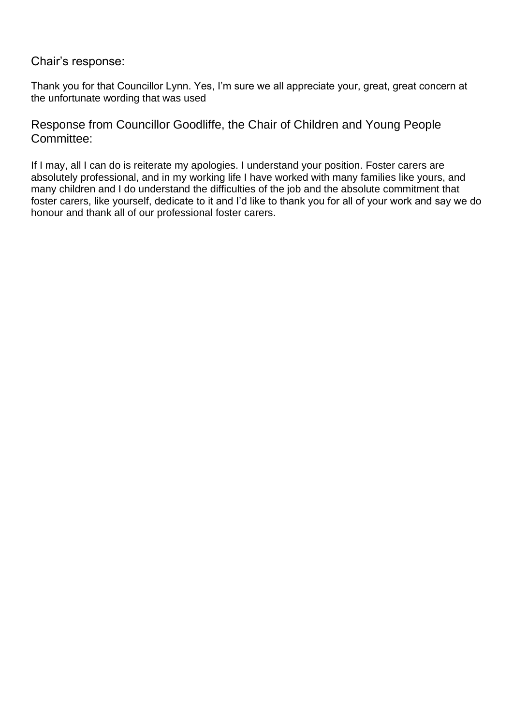Chair's response:

Thank you for that Councillor Lynn. Yes, I'm sure we all appreciate your, great, great concern at the unfortunate wording that was used

Response from Councillor Goodliffe, the Chair of Children and Young People Committee:

If I may, all I can do is reiterate my apologies. I understand your position. Foster carers are absolutely professional, and in my working life I have worked with many families like yours, and many children and I do understand the difficulties of the job and the absolute commitment that foster carers, like yourself, dedicate to it and I'd like to thank you for all of your work and say we do honour and thank all of our professional foster carers.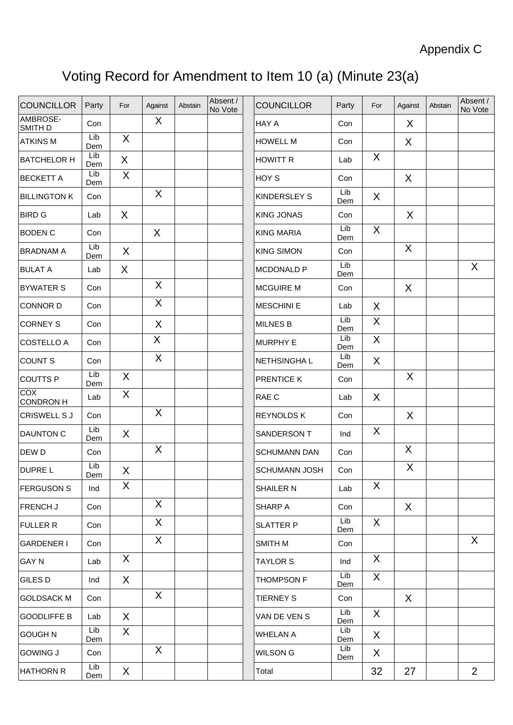# Voting Record for Amendment to Item 10 (a) (Minute 23(a)

| <b>COUNCILLOR</b>       | Party      | For          | Against | Abstain | Absent /<br>No Vote | <b>COUNCILLOR</b>    | Party      | For          | Against | Abstain | Absent /<br>No Vote |
|-------------------------|------------|--------------|---------|---------|---------------------|----------------------|------------|--------------|---------|---------|---------------------|
| AMBROSE-<br>SMITH D     | Con        |              | X       |         |                     | HAY A                | Con        |              | X       |         |                     |
| <b>ATKINS M</b>         | Lib<br>Dem | $\sf X$      |         |         |                     | <b>HOWELL M</b>      | Con        |              | X       |         |                     |
| <b>BATCHELOR H</b>      | Lib<br>Dem | X            |         |         |                     | <b>HOWITT R</b>      | Lab        | X            |         |         |                     |
| <b>BECKETT A</b>        | Lib<br>Dem | X            |         |         |                     | HOY S                | Con        |              | X       |         |                     |
| <b>BILLINGTON K</b>     | Con        |              | X       |         |                     | <b>KINDERSLEY S</b>  | Lib<br>Dem | X            |         |         |                     |
| <b>BIRD G</b>           | Lab        | $\sf X$      |         |         |                     | <b>KING JONAS</b>    | Con        |              | X       |         |                     |
| <b>BODEN C</b>          | Con        |              | X       |         |                     | <b>KING MARIA</b>    | Lib<br>Dem | X            |         |         |                     |
| <b>BRADNAM A</b>        | Lib<br>Dem | X            |         |         |                     | <b>KING SIMON</b>    | Con        |              | X       |         |                     |
| <b>BULAT A</b>          | Lab        | $\sf X$      |         |         |                     | <b>MCDONALD P</b>    | Lib<br>Dem |              |         |         | X                   |
| <b>BYWATER S</b>        | Con        |              | X       |         |                     | <b>MCGUIRE M</b>     | Con        |              | X       |         |                     |
| <b>CONNOR D</b>         | Con        |              | X       |         |                     | <b>MESCHINI E</b>    | Lab        | X            |         |         |                     |
| <b>CORNEY S</b>         | Con        |              | X       |         |                     | <b>MILNES B</b>      | Lib<br>Dem | X            |         |         |                     |
| <b>COSTELLO A</b>       | Con        |              | X       |         |                     | <b>MURPHY E</b>      | Lib<br>Dem | X            |         |         |                     |
| <b>COUNT S</b>          | Con        |              | X       |         |                     | NETHSINGHA L         | Lib<br>Dem | X            |         |         |                     |
| <b>COUTTS P</b>         | Lib<br>Dem | $\sf X$      |         |         |                     | PRENTICE K           | Con        |              | $\sf X$ |         |                     |
| <b>COX</b><br>CONDRON H | Lab        | X            |         |         |                     | RAE C                | Lab        | X            |         |         |                     |
| <b>CRISWELL SJ</b>      | Con        |              | X       |         |                     | <b>REYNOLDS K</b>    | Con        |              | X       |         |                     |
| <b>DAUNTON C</b>        | Lib<br>Dem | X            |         |         |                     | SANDERSON T          | Ind        | X            |         |         |                     |
| DEW D                   | Con        |              | X       |         |                     | <b>SCHUMANN DAN</b>  | Con        |              | X       |         |                     |
| <b>DUPREL</b>           | Lib<br>Dem | X            |         |         |                     | <b>SCHUMANN JOSH</b> | Con        |              | X       |         |                     |
| <b>FERGUSON S</b>       | Ind        | X            |         |         |                     | SHAILER N            | Lab        | X            |         |         |                     |
| <b>FRENCH J</b>         | Con        |              | X.      |         |                     | SHARP A              | Con        |              | X       |         |                     |
| <b>FULLER R</b>         | Con        |              | X       |         |                     | <b>SLATTER P</b>     | Lib<br>Dem | $\mathsf{X}$ |         |         |                     |
| <b>GARDENER I</b>       | Con        |              | X       |         |                     | SMITH M              | Con        |              |         |         | X                   |
| <b>GAY N</b>            | Lab        | X            |         |         |                     | <b>TAYLOR S</b>      | Ind        | X            |         |         |                     |
| <b>GILES D</b>          | Ind        | $\mathsf{X}$ |         |         |                     | <b>THOMPSON F</b>    | Lib<br>Dem | $\sf X$      |         |         |                     |
| <b>GOLDSACK M</b>       | Con        |              | X       |         |                     | <b>TIERNEY S</b>     | Con        |              | X       |         |                     |
| <b>GOODLIFFE B</b>      | Lab        | $\sf X$      |         |         |                     | VAN DE VEN S         | Lib<br>Dem | $\sf X$      |         |         |                     |
| <b>GOUGH N</b>          | Lib<br>Dem | X            |         |         |                     | <b>WHELAN A</b>      | Lib<br>Dem | X            |         |         |                     |
| <b>GOWING J</b>         | Con        |              | X       |         |                     | <b>WILSON G</b>      | Lib<br>Dem | X            |         |         |                     |
| <b>HATHORN R</b>        | Lib<br>Dem | X            |         |         |                     | Total                |            | 32           | 27      |         | $\overline{2}$      |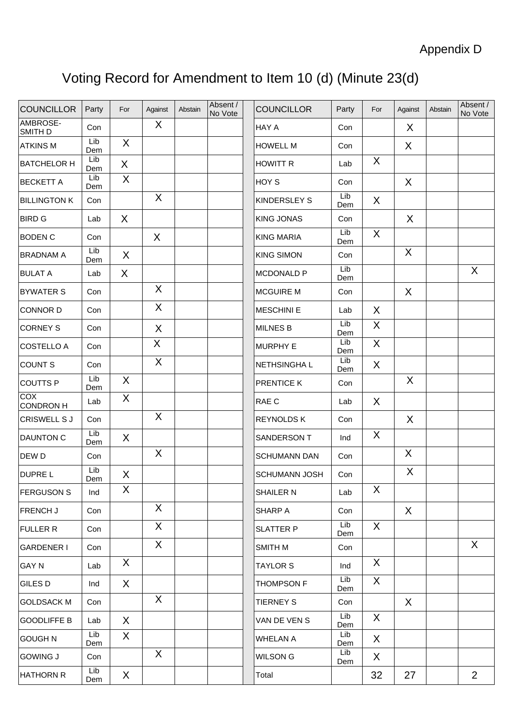# Voting Record for Amendment to Item 10 (d) (Minute 23(d)

| <b>COUNCILLOR</b>       | Party      | For          | Against      | Abstain | Absent /<br>No Vote | <b>COUNCILLOR</b>    | Party      | For          | Against | Abstain | Absent /<br>No Vote |
|-------------------------|------------|--------------|--------------|---------|---------------------|----------------------|------------|--------------|---------|---------|---------------------|
| AMBROSE-<br>SMITH D     | Con        |              | X            |         |                     | HAY A                | Con        |              | X       |         |                     |
| <b>ATKINS M</b>         | Lib<br>Dem | $\sf X$      |              |         |                     | <b>HOWELL M</b>      | Con        |              | X       |         |                     |
| <b>BATCHELOR H</b>      | Lib<br>Dem | X            |              |         |                     | <b>HOWITT R</b>      | Lab        | X            |         |         |                     |
| <b>BECKETT A</b>        | Lib<br>Dem | X            |              |         |                     | HOY S                | Con        |              | X       |         |                     |
| <b>BILLINGTON K</b>     | Con        |              | X            |         |                     | <b>KINDERSLEY S</b>  | Lib<br>Dem | X            |         |         |                     |
| <b>BIRD G</b>           | Lab        | $\chi$       |              |         |                     | <b>KING JONAS</b>    | Con        |              | X       |         |                     |
| <b>BODEN C</b>          | Con        |              | X            |         |                     | <b>KING MARIA</b>    | Lib<br>Dem | $\sf X$      |         |         |                     |
| <b>BRADNAM A</b>        | Lib<br>Dem | $\sf X$      |              |         |                     | <b>KING SIMON</b>    | Con        |              | X       |         |                     |
| <b>BULAT A</b>          | Lab        | X            |              |         |                     | <b>MCDONALD P</b>    | Lib<br>Dem |              |         |         | X                   |
| <b>BYWATER S</b>        | Con        |              | X            |         |                     | <b>MCGUIRE M</b>     | Con        |              | X       |         |                     |
| <b>CONNOR D</b>         | Con        |              | X            |         |                     | <b>MESCHINI E</b>    | Lab        | X            |         |         |                     |
| <b>CORNEY S</b>         | Con        |              | X            |         |                     | <b>MILNES B</b>      | Lib<br>Dem | X            |         |         |                     |
| <b>COSTELLO A</b>       | Con        |              | $\mathsf{X}$ |         |                     | <b>MURPHY E</b>      | Lib<br>Dem | X            |         |         |                     |
| <b>COUNT S</b>          | Con        |              | X            |         |                     | NETHSINGHA L         | Lib<br>Dem | X            |         |         |                     |
| <b>COUTTS P</b>         | Lib<br>Dem | $\sf X$      |              |         |                     | PRENTICE K           | Con        |              | $\sf X$ |         |                     |
| COX<br><b>CONDRON H</b> | Lab        | X            |              |         |                     | RAE C                | Lab        | X            |         |         |                     |
| <b>CRISWELL S J</b>     | Con        |              | X            |         |                     | <b>REYNOLDS K</b>    | Con        |              | X       |         |                     |
| DAUNTON C               | Lib<br>Dem | X            |              |         |                     | SANDERSON T          | Ind        | X            |         |         |                     |
| DEW D                   | Con        |              | X            |         |                     | <b>SCHUMANN DAN</b>  | Con        |              | X       |         |                     |
| DUPRE L                 | Lib<br>Dem | X            |              |         |                     | <b>SCHUMANN JOSH</b> | Con        |              | X       |         |                     |
| <b>FERGUSON S</b>       | Ind        | X            |              |         |                     | SHAILER N            | Lab        | X            |         |         |                     |
| FRENCH J                | Con        |              | X.           |         |                     | SHARP A              | Con        |              | X       |         |                     |
| <b>FULLER R</b>         | Con        |              | $\mathsf{X}$ |         |                     | <b>SLATTER P</b>     | Lib<br>Dem | X            |         |         |                     |
| <b>GARDENER I</b>       | Con        |              | $\mathsf{X}$ |         |                     | SMITH M              | Con        |              |         |         | X                   |
| <b>GAY N</b>            | Lab        | X            |              |         |                     | <b>TAYLOR S</b>      | Ind        | X            |         |         |                     |
| GILES D                 | Ind        | X            |              |         |                     | <b>THOMPSON F</b>    | Lib<br>Dem | $\mathsf{X}$ |         |         |                     |
| <b>GOLDSACK M</b>       | Con        |              | X            |         |                     | <b>TIERNEY S</b>     | Con        |              | $\sf X$ |         |                     |
| <b>GOODLIFFE B</b>      | Lab        | X            |              |         |                     | VAN DE VEN S         | Lib<br>Dem | $\sf X$      |         |         |                     |
| <b>GOUGH N</b>          | Lib<br>Dem | X            |              |         |                     | <b>WHELAN A</b>      | Lib<br>Dem | X            |         |         |                     |
| <b>GOWING J</b>         | Con        |              | $\mathsf{X}$ |         |                     | WILSON G             | Lib<br>Dem | X            |         |         |                     |
| <b>HATHORN R</b>        | Lib<br>Dem | $\mathsf{X}$ |              |         |                     | Total                |            | 32           | 27      |         | $\overline{2}$      |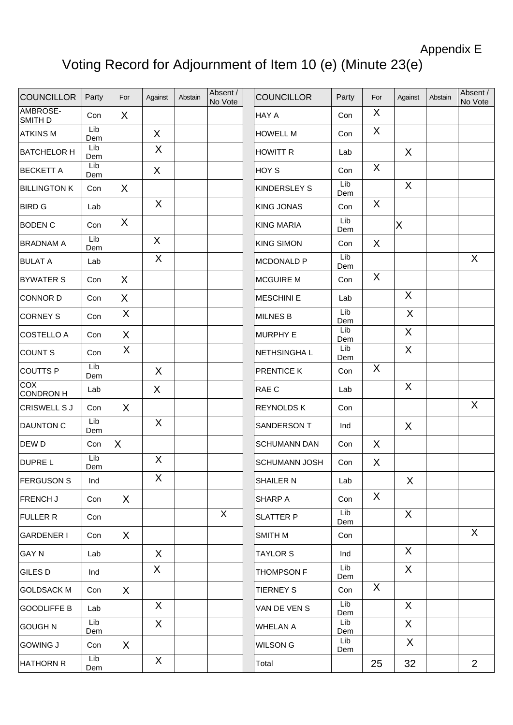## Appendix E

# Voting Record for Adjournment of Item 10 (e) (Minute 23(e)

| <b>COUNCILLOR</b>       | Party      | For     | Against | Abstain | Absent /<br>No Vote | <b>COUNCILLOR</b>    | Party      | For | Against      | Abstain |  |
|-------------------------|------------|---------|---------|---------|---------------------|----------------------|------------|-----|--------------|---------|--|
| AMBROSE-<br>SMITH D     | Con        | X       |         |         |                     | <b>HAY A</b>         | Con        | X   |              |         |  |
| <b>ATKINS M</b>         | Lib<br>Dem |         | X       |         |                     | <b>HOWELL M</b>      | Con        | X   |              |         |  |
| <b>BATCHELOR H</b>      | Lib<br>Dem |         | X       |         |                     | <b>HOWITT R</b>      | Lab        |     | X            |         |  |
| <b>BECKETT A</b>        | Lib<br>Dem |         | X       |         |                     | HOY S                | Con        | X   |              |         |  |
| <b>BILLINGTON K</b>     | Con        | $\sf X$ |         |         |                     | KINDERSLEY S         | Lib<br>Dem |     | X            |         |  |
| <b>BIRD G</b>           | Lab        |         | X       |         |                     | <b>KING JONAS</b>    | Con        | X   |              |         |  |
| <b>BODEN C</b>          | Con        | X       |         |         |                     | <b>KING MARIA</b>    | Lib<br>Dem |     | $\sf X$      |         |  |
| <b>BRADNAM A</b>        | Lib<br>Dem |         | X       |         |                     | <b>KING SIMON</b>    | Con        | X   |              |         |  |
| <b>BULAT A</b>          | Lab        |         | X       |         |                     | MCDONALD P           | Lib<br>Dem |     |              |         |  |
| <b>BYWATER S</b>        | Con        | X       |         |         |                     | <b>MCGUIRE M</b>     | Con        | X   |              |         |  |
| <b>CONNOR D</b>         | Con        | X       |         |         |                     | <b>MESCHINI E</b>    | Lab        |     | X            |         |  |
| <b>CORNEY S</b>         | Con        | X       |         |         |                     | <b>MILNES B</b>      | Lib<br>Dem |     | $\sf X$      |         |  |
| <b>COSTELLO A</b>       | Con        | $\sf X$ |         |         |                     | <b>MURPHY E</b>      | Lib<br>Dem |     | X            |         |  |
| <b>COUNT S</b>          | Con        | X       |         |         |                     | NETHSINGHA L         | Lib<br>Dem |     | X            |         |  |
| <b>COUTTS P</b>         | Lib<br>Dem |         | X       |         |                     | PRENTICE K           | Con        | X   |              |         |  |
| COX<br><b>CONDRON H</b> | Lab        |         | X       |         |                     | RAE C                | Lab        |     | $\sf X$      |         |  |
| CRISWELL S J            | Con        | X       |         |         |                     | <b>REYNOLDS K</b>    | Con        |     |              |         |  |
| DAUNTON C               | Lib<br>Dem |         | X       |         |                     | SANDERSON T          | Ind        |     | X            |         |  |
| DEW D                   | Con        | X       |         |         |                     | <b>SCHUMANN DAN</b>  | Con        | X   |              |         |  |
| <b>DUPREL</b>           | Lib<br>Dem |         | X       |         |                     | <b>SCHUMANN JOSH</b> | Con        | X   |              |         |  |
| <b>FERGUSON S</b>       | Ind        |         | X       |         |                     | SHAILER N            | Lab        |     | X            |         |  |
| FRENCH J                | Con        | $\sf X$ |         |         |                     | SHARP A              | Con        | X   |              |         |  |
| <b>FULLER R</b>         | Con        |         |         |         | $\mathsf{X}$        | <b>SLATTER P</b>     | Lib<br>Dem |     | X            |         |  |
| <b>GARDENER I</b>       | Con        | X       |         |         |                     | SMITH M              | Con        |     |              |         |  |
| <b>GAY N</b>            | Lab        |         | X       |         |                     | <b>TAYLOR S</b>      | Ind        |     | X            |         |  |
| GILES D                 | Ind        |         | X       |         |                     | THOMPSON F           | Lib<br>Dem |     | $\sf X$      |         |  |
| <b>GOLDSACK M</b>       | Con        | $\sf X$ |         |         |                     | <b>TIERNEY S</b>     | Con        | X   |              |         |  |
| <b>GOODLIFFE B</b>      | Lab        |         | X       |         |                     | VAN DE VEN S         | Lib<br>Dem |     | X            |         |  |
| <b>GOUGH N</b>          | Lib<br>Dem |         | X       |         |                     | <b>WHELAN A</b>      | Lib<br>Dem |     | $\mathsf{X}$ |         |  |
| <b>GOWING J</b>         | Con        | X       |         |         |                     | <b>WILSON G</b>      | Lib<br>Dem |     | X            |         |  |
| <b>HATHORN R</b>        | Lib<br>Dem |         | X       |         |                     | Total                |            | 25  | 32           |         |  |